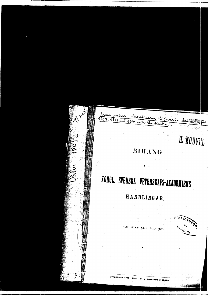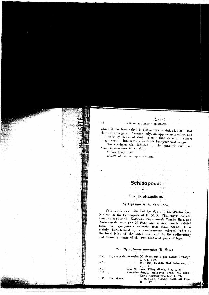

### ANEL OHLIN, ARCTIC CRUSTACEA.

 $\Lambda$  and  $\Lambda$ 

which it has been taken is 250 metres in stat. 21, 1900. But these figures give, of course only, an approximate value, and it is only by means of shutting nets that we might expect to get certain information as to its bathymetrical range.

One specimen was infested by the parasitic cirrhiped. Salon hamenodora G. O. SARS.

Colour bright red. Length of largest spec. 69 mm.

 $61$ 

# Schizopoda.

# Fam. Euphauslidæ.

## Nyetiphanes G. O. SARS 1883.

This genus was instituted by Skgs, in his Preliminary Notices on the Schizopoda of H. M. S. A'hallenger. Expedition , to receive the Northern Thysunopoda Couchii BELL and Thusanopoda novecgica M. SARS and a new nearly related form, viz. Ngeliphanes australis from Bass' Strait. It is mainly characterized by a membraneous reflexed leaflet on the basal joint of the antennulae, and by the rudimentary and dissimilar state of the two hindmost pairs of legs.

### 25. Nyctiphanes norvegica (M. SARF).

| 1857. . |                   | Thysanopeda norvegica M. SARS, Om 3 ave norske Krebsdyr, |
|---------|-------------------|----------------------------------------------------------|
|         |                   | 1. с. в. 169.                                            |
| 1864.   |                   | M. SABS, Udförlig Beskrivelse etc., 1.                   |
|         |                   | $\sim$ c. p. 2.                                          |
| 1864.   |                   | nana M. SARS, Tillag til etc., l. e. p. 84.              |
| 1878.   |                   | Norvegica SMITH, Stalk-eyed Crust. Atl. Coast            |
|         |                   | <sup>20</sup> North America etc., L c. p. 89.            |
|         | 1885. Nyetiphanes | G. O. SARS, Norweg. North Atl. Exp.<br>$\pmb{\lambda}$   |
|         |                   | П, р. 12.                                                |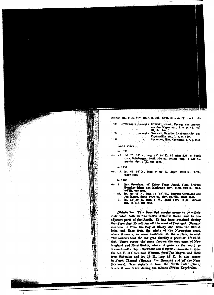

BIHANG TILL K. SV. VET.-AKAD. HANDL. BAND 27. APD. IV. N:O 8. 65

دي.<br>د د سرچينې 1892. 1892.

1886. Nyctiphanes Norvegica KOELBEL, Crust., Pycnog. und Arachu.<br>von Jan Mayen etc., 1. c. p. 48, taf. III, fig. 7-10. Prophogastrida and Euphausiids etc., l. c. p. 459,

STEBBING, Hist. Crustacea, 1. c. p. 263.

Localities:

in 1898-

stat. 41. lat. 75 58' N., long. 13' 18' E., 56 miles S.W. of South Cape, Spitzbergen, depth 350 m., bottom temp. + 2,t3' C., grayish clay, 1/IX, one spec.

in 1899:

stat. 3. lat. 63° 36' N., long. 0° 26' E., dopth 1900 m., 2/VI., many spec.

in 1900:

- stat. 21. East Greenland, off Kaiser Franz Joseph Fiord between Bontekoe Island and Mackenzie fisy, depth 250 m., mud, 8/VIII, enc.
	- lat. 72' 42' N., long. 14' 49' W., between Greenland and 99. Jan Mayen, depth 2000 m., clay, 27/VIII, many spoc.
	- lat. 73' 30' N., long. 2' W., depth 1500--0 m., vertical n. net, 12/VII, and spec.

Distribution: This beautiful species seems to be widely distributed both in the North Atlantic Ocean and in the adjacent parts of the Arctic. It has been obtained during the Porcupine: Expedition off the coast of Portugal. NORMAN mentions it from the Bay of Biscay and from the British Isles, and SARS from the whole of the Norwegian coast, where it occurs, in some localities, at the surface, in such vast swarms that the sea gets thereby a peculiar brownish tint. SMITH states the same fact on the east coast of New England and Nova Scotia, where it goes as far south as Massachusetts Bay. BUCHHOLZ and HAWSEN enumerate it from the sea E. of Greenland, Komaki from Jan Mayen, and Gogs from Bohuslän and lat. 75 N., long. 12. E. It also occurs in Færöe Channel (MURRAY fide NORMAN) and off the Naze (METZGER). SARS reports it from the North Polar Basin, where it was taken during the famous Fram Expedition.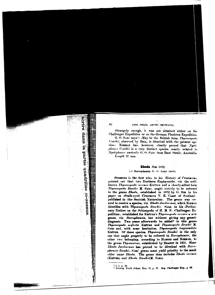

### ANEL OHLIN, ARCTIC CRUSTACEA.

Strangely enough, it was not obtained either on the Challenger Expedition or on the German Plankton Expedition. G. O. SARS says': May be the British form, Thysanopada Couchii, observed by BELL, is identical with the present species. NORMAN has, however, clearly proved that Nyctiphanes Couchii is a very distinct species, nearly related to Nyctiphanes australis G. O. SARS from Bass' Strait, Australia.

.<br>Geografi

Length 37 mm.

66

#### Rhoda Stu 1872.

#### $($ = Boreophausia G. O. SARS 1883).

STEBBING is the first who, in his History of Crustaceas, pointed out that two Northern Euphansiids, viz. the wellknown Thysanopoda increas KnoyEn and a closely-allied form Thysanopoda Raschi M. Sans, ought strictly to be referred to the genus Rhoda, established in 1872 by G. Sim in his paper on Stalk-eved Crustacea N. E. Coast of Nortland. published in the Souttish Naturalist. The genus was ereated to receive a species, viz. Ithoda Jardincana, which NORMAN identifies with Thysenopoda Raschii. SARS, in his Preliminary Notices on the Schizopoda of H. M. S. Challenger. Expedition. established for KBörER's Thysanopoda incrinis a new genus, viz. Borrophausia, but without giving any generic diagnosis. Two years afterwards be added<sup>y</sup> to this genus Thysanopoda neglecta KBÖYER and Thysanopeda Haschii M. SARS and, with some hesitation, Thysanopoda longicaudata KRÖTER. Of these species. Thysanopoda Raschii in the only one that ought properly to be referred to Borrophausia, the other two belonging, according to HAMSEN and NORMAN, to the genus Thysanoëssa, established by BRANDT in 1851. Since Rhoda Jardincana has proved to be identical with Borcophausia Raschii, SARS' genus must yield priority to the much older name Rhoda. The genus thus includes Rhoda inermis (KRÖYER) and Rhoda Raschie(M. SARS).

<sup>1</sup> 1. c. p. 12. <sup>2</sup> Norweg, North Atlant, Exp. 11, p. 13. Rep. Challenger Exp., p. 64.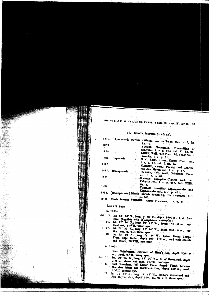BIHANG TILL K. SV. VET.-AKAD. HANDL. BAND. 27. APD. IV. N.O.S. 67

多过度 网络

26. Rhoda inermis (KRÖYER).

 $\label{eq:Ricci} \gamma_{\rm eff} = \gamma_{\rm eff} = \frac{1}{2} \gamma_{\rm eff} = \frac{1}{2} \gamma_{\rm eff} = \frac{1}{2} \gamma_{\rm eff}$ 

|       |                 |   | 1846. Thysanopoda inermis KRÖYER, Voy. in Scand. etc., p. 7, fig.                                                 |
|-------|-----------------|---|-------------------------------------------------------------------------------------------------------------------|
| 1859. |                 |   | $2 - L$<br>KRÖYER, Monograph, Fremstilling                                                                        |
| 1879. |                 | r | - of<br>Sergestes, I. c. p. 294, tab. V, fig. 24.                                                                 |
|       | 1882. Euphausia |   | SMITH, Stalk-eyed Crust. Atl. Coast North<br>America, 1. c. p. 91.                                                |
| 1886. |                 |   | G. O. SARS, Overs. Norges Crust. etc.,<br>1. c. p. 51, tab. I, fig. 15.                                           |
| 1887. | Boreophausia    |   | KOELBEL, Crust., Pycnog. und Arachn.<br>von Jan Mayen etc., J. c., p. 47.<br>HANSEN, Ofv., vestl. Grönlands Fauna |
| 1887. |                 |   | etc., 1. c. p. 53.<br>a cole HANSEN, Dijmphiia-Togtets zool, bot.                                                 |
|       |                 |   | Udbytte etc., 1. c. p. 253, tab. XXIII,<br><b>Sg. 3.</b>                                                          |
| 1892. |                 |   | NORMAN, Families Lophogastrida, and                                                                               |
|       |                 |   | Emphannisdae etc., i. c. p. 461.<br>1893. [Boreophausia] Rhoda incrmis STEBBING, Hist. Crustacea, I. c.           |
|       |                 |   | 9. 263.                                                                                                           |

1900. Rhoda inermis STEBBING, Arctic Crustacea, i. c. p. 11.

 $\label{eq:1} \omega_{\rm c} \approx 1 - \gamma_{\rm c} \frac{1}{\lambda} \left[ \frac{1}{\lambda_{\rm c}} \right] \frac{1}{\lambda_{\rm c}} \left[ \frac{1}{\lambda_{\rm c}} \right] \left[ \frac{1}{\lambda_{\rm c}} \right] \left[ \frac{1}{\lambda_{\rm c}} \right] \,.$ 

т.

### Localities:

in 1899:

||攤| ||||# 

躣

HE ALL

1991

anger :  $\begin{picture}(220,20) \put(0,0){\line(1,0){10}} \put(10,0){\line(1,0){10}} \put(10,0){\line(1,0){10}} \put(10,0){\line(1,0){10}} \put(10,0){\line(1,0){10}} \put(10,0){\line(1,0){10}} \put(10,0){\line(1,0){10}} \put(10,0){\line(1,0){10}} \put(10,0){\line(1,0){10}} \put(10,0){\line(1,0){10}} \put(10,0){\line(1,0){10}} \put(10,0){\line($  $\|A_{k}\|_{L^{\infty}(\mathbb{R}^{d})} \leq \epsilon$ al kal

KS.

la que his kC.

)<br>Salah

i se K

 $\sim 6$   $\omega_{\rm c}$ 4.38

 $\mathcal{L}(\mathbb{R}^d)$  .

Santa California<br>Santa California<br>Santa California

**Marine** 

**Sillanges** 

**BASES** 

33

Mil.

不诚实。  $\mathcal{A}_{\text{G}}$  ,  $\mathcal{A}_{\text{G}}$  , 보관법. **大家的** 

1n 1599:<br>
stat. 3. lat. 63' 36' N., long. 0 26' E., depth 1900 m., 2/VI, (our<br>
spec. (together with 'Nyotiphanes norvegica').<br>
26. lat. 72' 26' N., long. 21' 46' W., depth 190--0 m., ver.<br>
tical net, 24/VII, three spec.<br>
2

 $\tau$  and  $\tau$  appe

 $\mathcal{P}(\frac{1}{M},\frac{1}{M},\frac{1}{M})$ 

tical net, 27 VII, three spec.

- 43. lat. 73 32' N., long. 24' 38' W., Kaiser Franz Joseph Fiord, Cape Weber, depth 100-110 m., mud with gravels and stones, 28/VIII, one spec.  $\label{eq:3} \begin{array}{l} \mathbb{E}\left[\frac{1}{2}\frac{d}{dx}\right] \mathcal{L}_{\text{eff}} \\ \frac{d}{dx}\mathcal{L}_{\text{eff}}\mathcal{L}_{\text{eff}} \\ \end{array}$ 

in 1900:

数字数字

West Spitzbergen. entrance of King's Bay, depth 300-0 m., trawl, 2/VII, many spec.

- stat. 16. lat. 72° 25' N., long. 17° 56' W., E. of Greenland, depth 300 m., stones and sand, 30 VII, one spec.
	- > 21. East Greenland, off Kaiser Franz Joseph Fiord, between Bontekoe Island and Mackenzie Hay, depth 250 m., mud, 8 VIII, several spec.
		- 29. lat. 72° 42' N., long. 14° 49' W., between Greenland and Jan Mayen, clay, depth 2000 m., 27 VIII, three spec.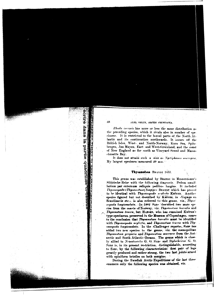#### AXEL OHLIN, ARCTIC CRUSTACEA.

**BJITE** 

suep

i<br>P

bartie

eduaburile

68

Rhoda incruis has more or less the same distribution as the preceding species, which it rivals also in number of specimens. It is restricted to the boreal parts of the North Atlantic and its continuation northwards. It occurs off the British Isles, West- and North-Norway. Kara Sea, Spitzbergen, Jan Mayen, East- and West-Greenland, and the coast of New England as far south as Vinevard Sound and Massachusetts Bay.

It does not attain such a size as Nycliphanes norregica. My largest specimen measured 29 mm.

#### Thysanoëssa BRANDT 1851.

This genus was established by BRANDT in MIDDENBORFF's Sibirische Reise with the following diagnosis. Pedum maxillarium par externum reliquis pedibus longius. It included Thysanopoda (Thysanočssa) longipes BRANDT which has proved to be identical with Thysanopoda neglecta KRÖYER. Another species figured but not described by KEOYER, in Voyage en Scandinavie etc., is also referred to this genus, viz., Thysonopoda longicandata. An 1882 Sans described two more species from the counts of Norway, viz. Thysanolssa borralis and Thysanoessa tenera, but HANENS, who has examined Knörka's type-specimens, preserved in the Museum of Copenhagen, comes to the conclusion that Thysanoëssa borralis must be identified with Thysanopoda neglecta, and Thysanorssa tenera with Thysanopoda longicandata. In the Challenger reports. BARS has added two new species to the genus, viz. the commopolitan Thysanoessa gregaria and Thysanoessa macrara from the Antarctic and South Atlantic Oceans. The genus which is closely allied to Nematoscelos G. O. SARS and Stylocheiron G. O. SARS is, in its present re-triction, distinguishable, according to SARS, by the following characteristics: first pair of legs greatly produced and rather strong, the two last joints armed with spiniform bristles on both margins.

During the Swedish Arctic Expeditions of the last three summers only the following species was obtained, viz.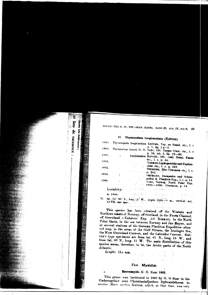

BHIANG TILL K. SV. VET.-AKAD. HANDL. RAND 27. AFD. IV. NIO 8, 69

a h

# 27. Thysanoëssa longicaudata (KRÖYER).

| 1846. |           |                                                                                                                                                                                                                                                          | Thysanopoda longicaudata KRÖYER, Voy, en Scand, etc., I. c                                             |
|-------|-----------|----------------------------------------------------------------------------------------------------------------------------------------------------------------------------------------------------------------------------------------------------------|--------------------------------------------------------------------------------------------------------|
| 1882. |           |                                                                                                                                                                                                                                                          | $1.7.$ $\frac{5}{7}.1a - f.$<br>Thysanoessa tenera G. O. SARS, Ofv. Norges Crust. etc., I. e           |
| 1887. |           |                                                                                                                                                                                                                                                          | $\sim$ 44 and $\sim$ P. 53, tab. I, fig. 19-20.<br>longicandata HANSEN, Ofv. vestl. Grönl. Fauna       |
| 1892. |           |                                                                                                                                                                                                                                                          | etc., I. c. p. 54.<br>NORMAN, Lophogastride and Euphau-                                                |
| 1893. |           |                                                                                                                                                                                                                                                          | $\therefore$ $\therefore$ side etc. I. c. p. 463.<br>STEBBING, Hist. Crustacea etc., l. c.             |
| 1893. | ٤         | $\mathbb{E}^{(\mathcal{A}_{\mathcal{A}}^{\mathcal{A}}\otimes\mathcal{A}_{\mathcal{A}}^{\mathcal{A}}\otimes\mathcal{A}_{\mathcal{A}}^{\mathcal{A}})}\mathbb{P}^{(\mathcal{A}_{\mathcal{A}}^{\mathcal{A}}\otimes\mathcal{A}_{\mathcal{A}}^{\mathcal{A}})}$ | ORTMANN, Decapoden und Schizo-                                                                         |
| 1900. |           |                                                                                                                                                                                                                                                          | poden d. Plankton-Exp., 1. c. p. 14.<br>SARS, Norweg. North Polar Exp.<br>1893-1896. Crustacea, p. 14, |
|       | Locality: |                                                                                                                                                                                                                                                          | the order of the control of the property of                                                            |
|       |           |                                                                                                                                                                                                                                                          |                                                                                                        |

lat. 73' 30' N., long 22 W., depth 1500 0 m., vertical net,  $\mathbf{u}^*$ 13 VII, one spec.

This species has been obtained off the Weatern sand Northern coasts of Norway, off Scotland, in the Farroe Channel, off Greenland (Nalorous' Exp. fide Norman), in the North Polar Basin, in the sea between Norway and Jan Mayen, and at several stations of the German Plankton Expedition situated resp. in the areas of the Gulf Stream, the Irminger Sea, the West Greenland Current, and the Labrador Current. Kan. YER's type specimens are from lat. 61 N., long. 13 W., and from lat. 60 N., long. 11 W. The main distribution of this species seems, therefore, to be, the Arctic parts of the North Atlantic.

Length: 15,5 mm.

# Fam. Mysidæ.

# Boreomysis G. O. SARS 1869.

 $\frac{1}{\sqrt{2}}$ 

This genus was instituted in 1869 by G. O SARS in his Undersogelser over Christianiafjordens Dybvandsfaunas to receive Mysis arctica KROYER, which, at that time, was only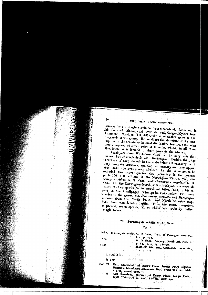

ANEL OHLIN, ARCTIC CRUSTACHAN

known from a single specimen from Greenland. Luter on, in his classical Monographi over de ved Norges Kyster forekommende Mysider ... III. 1879, the same author gave a full diagnosis of the genus. He considers the structure of the marsupium in the female as its most distinctive feature, this being here composed of seven pairs of lamellæ, whilst, in all other Mysideans, it is formed by three pairs at the utmost,

Petalophthalmus WILLENOES-SUHN is the only one that shares that characteristic with Borromysis. Besides that, the structure of thep leopods in the male being all natatory, with very elongate branches, and the rudimentary auditory apparatus make the genus very distinct. In the same genus he included two other species also occurring in the deepest parts 100-400 fathoms of the Norwegian Fiords, viz., Boreomysis tridens G. O. SARS. and Boreamysis megulojis G. O. SARS. On the Norwegian North Atlantic Expedition were obtained the two species to be mentioned below; and, in his report on the Challenger Schizopods. Nass added two more species to the genus, viz. Borromysis obtusuta and Borromysis microps from the North Pacific and North Atlantic resp., both from considerable depths. Thus, the genus comprises. at present, seven species, all of which are probably bathypelagie forms.

# 28. Boreomysis nobilis (j. O. SARF.

#### Fig. 3.

| a madri | Tiorcomysts uobilis G. O. SARS, Crust. et Pychogon, nova etc.,                       |  |
|---------|--------------------------------------------------------------------------------------|--|
| 1885.   | -1. с. р. 428.<br>G. Q. SARS, Norweg. North Atl. Exp. 1.                             |  |
| 1887.   | $p. 54, pl. 5, bg. 22-28.$<br><b>A. A.HANSEN, Oft. vestl. Gronlands Fauna etc.</b> , |  |
|         | $\mathbb{R}^{1}$ , c. p. 214.                                                        |  |

## Localities:

70

(二) 在霜聚。 in 1900:  $\pm 8\%$ 

stat. 21. East Greenland, off Kaiser Franz Joseph Fiord between Bontekoe Island and Mackenzie Bay, depth 250 m., mud. 8/VIII, several spec.

25. East Greenland, entrance of Kaiser Franz Joseph Fiord, depth 200-300 m., mud. 14 VIII, three sper.

ng Light one - A - S -